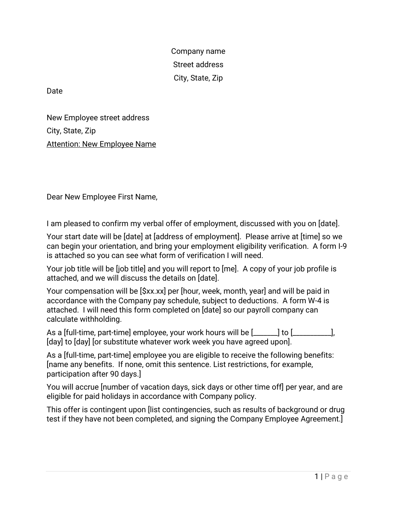Company name Street address City, State, Zip

Date

New Employee street address City, State, Zip Attention: New Employee Name

Dear New Employee First Name,

I am pleased to confirm my verbal offer of employment, discussed with you on [date].

Your start date will be [date] at [address of employment]. Please arrive at [time] so we can begin your orientation, and bring your employment eligibility verification. A form I-9 is attached so you can see what form of verification I will need.

Your job title will be [job title] and you will report to [me]. A copy of your job profile is attached, and we will discuss the details on [date].

Your compensation will be [\$xx.xx] per [hour, week, month, year] and will be paid in accordance with the Company pay schedule, subject to deductions. A form W-4 is attached. I will need this form completed on [date] so our payroll company can calculate withholding.

As a [full-time, part-time] employee, your work hours will be [\_\_\_\_\_\_\_] to [\_\_\_\_\_\_\_\_\_\_\_], [day] to [day] [or substitute whatever work week you have agreed upon].

As a [full-time, part-time] employee you are eligible to receive the following benefits: [name any benefits. If none, omit this sentence. List restrictions, for example, participation after 90 days.]

You will accrue [number of vacation days, sick days or other time off] per year, and are eligible for paid holidays in accordance with Company policy.

This offer is contingent upon [list contingencies, such as results of background or drug test if they have not been completed, and signing the Company Employee Agreement.]